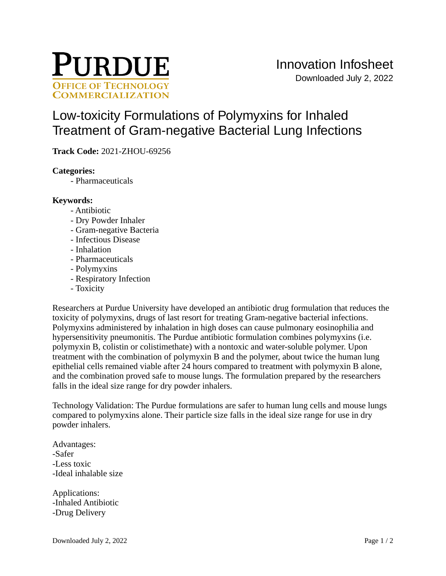

# [Low-toxicity Formulations of Polymyxins for Inhaled](https://inventions.prf.org/innovation/7866)  [Treatment of Gram-negative Bacterial Lung Infections](https://inventions.prf.org/innovation/7866)

**Track Code:** 2021-ZHOU-69256

# **Categories:**

- Pharmaceuticals

# **Keywords:**

- Antibiotic
- Dry Powder Inhaler
- Gram-negative Bacteria
- Infectious Disease
- Inhalation
- Pharmaceuticals
- Polymyxins
- Respiratory Infection
- Toxicity

Researchers at Purdue University have developed an antibiotic drug formulation that reduces the toxicity of polymyxins, drugs of last resort for treating Gram-negative bacterial infections. Polymyxins administered by inhalation in high doses can cause pulmonary eosinophilia and hypersensitivity pneumonitis. The Purdue antibiotic formulation combines polymyxins (i.e. polymyxin B, colistin or colistimethate) with a nontoxic and water-soluble polymer. Upon treatment with the combination of polymyxin B and the polymer, about twice the human lung epithelial cells remained viable after 24 hours compared to treatment with polymyxin B alone, and the combination proved safe to mouse lungs. The formulation prepared by the researchers falls in the ideal size range for dry powder inhalers.

Technology Validation: The Purdue formulations are safer to human lung cells and mouse lungs compared to polymyxins alone. Their particle size falls in the ideal size range for use in dry powder inhalers.

Advantages: -Safer -Less toxic -Ideal inhalable size

Applications: -Inhaled Antibiotic -Drug Delivery